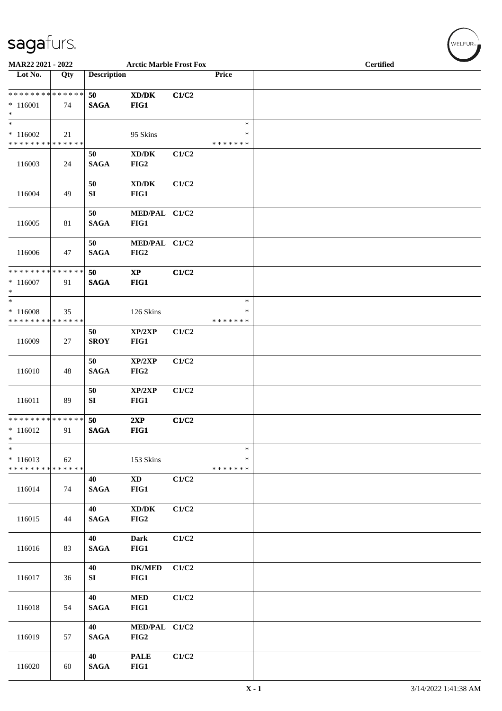| MAR22 2021 - 2022                                  |     |                    | <b>Arctic Marble Frost Fox</b>                      |       |                                   | <b>Certified</b> |
|----------------------------------------------------|-----|--------------------|-----------------------------------------------------|-------|-----------------------------------|------------------|
| Lot No.                                            | Qty | <b>Description</b> |                                                     |       | Price                             |                  |
| * * * * * * * * * * * * * *<br>$*116001$<br>$\ast$ | 74  | 50<br><b>SAGA</b>  | XD/DK<br>FIG1                                       | C1/C2 |                                   |                  |
| $\ast$<br>$*116002$<br>* * * * * * * * * * * * * * | 21  |                    | 95 Skins                                            |       | $\ast$<br>$\ast$<br>* * * * * * * |                  |
| 116003                                             | 24  | 50<br><b>SAGA</b>  | $\bold{X}\bold{D}/\bold{D}\bold{K}$<br>FIG2         | C1/C2 |                                   |                  |
| 116004                                             | 49  | 50<br>SI           | $\bold{X}\bold{D}/\bold{D}\bold{K}$<br>FIG1         | C1/C2 |                                   |                  |
| 116005                                             | 81  | 50<br><b>SAGA</b>  | MED/PAL C1/C2<br>FIG1                               |       |                                   |                  |
| 116006                                             | 47  | 50<br><b>SAGA</b>  | MED/PAL C1/C2<br>FIG2                               |       |                                   |                  |
| * * * * * * * * * * * * * *<br>$*116007$<br>$\ast$ | 91  | 50<br><b>SAGA</b>  | $\bold{XP}$<br>FIG1                                 | C1/C2 |                                   |                  |
| $\ast$<br>$*116008$<br>* * * * * * * * * * * * * * | 35  |                    | 126 Skins                                           |       | $\ast$<br>*<br>* * * * * * *      |                  |
| 116009                                             | 27  | 50<br><b>SROY</b>  | XP/2XP<br>FIG1                                      | C1/C2 |                                   |                  |
| 116010                                             | 48  | 50<br><b>SAGA</b>  | XP/2XP<br>FIG2                                      | C1/C2 |                                   |                  |
| 116011                                             | 89  | 50<br>SI           | XP/2XP<br>FIG1                                      | C1/C2 |                                   |                  |
| * * * * * * * * * * * * * *<br>$*116012$<br>$\ast$ | 91  | 50<br><b>SAGA</b>  | 2XP<br>FIG1                                         | C1/C2 |                                   |                  |
| $\ast$<br>$*116013$<br>* * * * * * * * * * * * * * | 62  |                    | 153 Skins                                           |       | $\ast$<br>*<br>* * * * * * *      |                  |
| 116014                                             | 74  | 40<br><b>SAGA</b>  | $\mathbf{X}\mathbf{D}$<br>FIG1                      | C1/C2 |                                   |                  |
| 116015                                             | 44  | 40<br><b>SAGA</b>  | $\mathbf{X}\mathbf{D}/\mathbf{D}\mathbf{K}$<br>FIG2 | C1/C2 |                                   |                  |
| 116016                                             | 83  | 40<br><b>SAGA</b>  | <b>Dark</b><br>FIG1                                 | C1/C2 |                                   |                  |
| 116017                                             | 36  | 40<br>SI           | <b>DK/MED</b><br>FIG1                               | C1/C2 |                                   |                  |
| 116018                                             | 54  | 40<br><b>SAGA</b>  | <b>MED</b><br>FIG1                                  | C1/C2 |                                   |                  |
| 116019                                             | 57  | 40<br><b>SAGA</b>  | MED/PAL C1/C2<br>FIG2                               |       |                                   |                  |
| 116020                                             | 60  | 40<br><b>SAGA</b>  | <b>PALE</b><br>FIG1                                 | C1/C2 |                                   |                  |

 $(w$ ELFUR<sub><sup>n</sub></sub></sub></sup>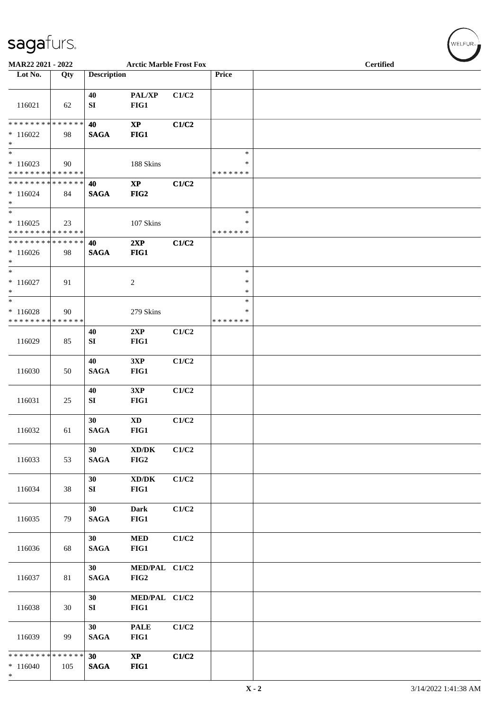| $\tilde{\phantom{a}}$<br>MAR22 2021 - 2022         |     |                       | <b>Arctic Marble Frost Fox</b>              |       |                              | <b>Certified</b> |
|----------------------------------------------------|-----|-----------------------|---------------------------------------------|-------|------------------------------|------------------|
| Lot No.                                            | Qty | <b>Description</b>    |                                             |       | Price                        |                  |
| 116021                                             | 62  | 40<br>SI              | PAL/XP<br>FIG1                              | C1/C2 |                              |                  |
| * * * * * * * * * * * * * *<br>$*116022$<br>$\ast$ | 98  | 40<br><b>SAGA</b>     | $\bold{XP}$<br>FIG1                         | C1/C2 |                              |                  |
| $\ast$<br>$*116023$<br>* * * * * * * * * * * * * * | 90  |                       | 188 Skins                                   |       | $\ast$<br>*<br>* * * * * * * |                  |
| * * * * * * * * * * * * * *<br>$*116024$<br>$\ast$ | 84  | 40<br><b>SAGA</b>     | $\mathbf{XP}$<br>FIG2                       | C1/C2 |                              |                  |
| $\ast$<br>$*116025$<br>* * * * * * * * * * * * * * | 23  |                       | 107 Skins                                   |       | $\ast$<br>∗<br>* * * * * * * |                  |
| * * * * * * * * * * * * * *<br>$*116026$<br>$\ast$ | 98  | 40<br><b>SAGA</b>     | 2XP<br>FIG1                                 | C1/C2 |                              |                  |
| $\ast$<br>$*116027$<br>$\ast$                      | 91  |                       | $\sqrt{2}$                                  |       | $\ast$<br>*<br>*             |                  |
| $\ast$<br>$*116028$<br>* * * * * * * * * * * * * * | 90  |                       | 279 Skins                                   |       | $\ast$<br>∗<br>* * * * * * * |                  |
| 116029                                             | 85  | 40<br>SI              | 2XP<br>FIG1                                 | C1/C2 |                              |                  |
| 116030                                             | 50  | 40<br><b>SAGA</b>     | 3XP<br>FIG1                                 | C1/C2 |                              |                  |
| 116031                                             | 25  | 40<br>SI              | 3XP<br>FIG1                                 | C1/C2 |                              |                  |
| 116032                                             | 61  | 30<br>$\mathbf{SAGA}$ | <b>XD</b><br>FIG1                           | C1/C2 |                              |                  |
| 116033                                             | 53  | 30<br><b>SAGA</b>     | $\bold{X}\bold{D}/\bold{D}\bold{K}$<br>FIG2 | C1/C2 |                              |                  |
| 116034                                             | 38  | 30<br>SI              | $\bold{X}\bold{D}/\bold{D}\bold{K}$<br>FIG1 | C1/C2 |                              |                  |
| 116035                                             | 79  | 30<br><b>SAGA</b>     | <b>Dark</b><br>FIG1                         | C1/C2 |                              |                  |
| 116036                                             | 68  | 30<br><b>SAGA</b>     | <b>MED</b><br>FIG1                          | C1/C2 |                              |                  |
| 116037                                             | 81  | 30<br><b>SAGA</b>     | MED/PAL C1/C2<br>FIG2                       |       |                              |                  |
| 116038                                             | 30  | 30<br>SI              | MED/PAL C1/C2<br>FIG1                       |       |                              |                  |
| 116039                                             | 99  | 30<br><b>SAGA</b>     | <b>PALE</b><br>FIG1                         | C1/C2 |                              |                  |
| * * * * * * * * * * * * * *<br>$*116040$<br>$*$    | 105 | 30<br><b>SAGA</b>     | $\mathbf{X}\mathbf{P}$<br>FIG1              | C1/C2 |                              |                  |

 $(w$ ELFUR<sub><sup>n</sub></sub></sub></sup>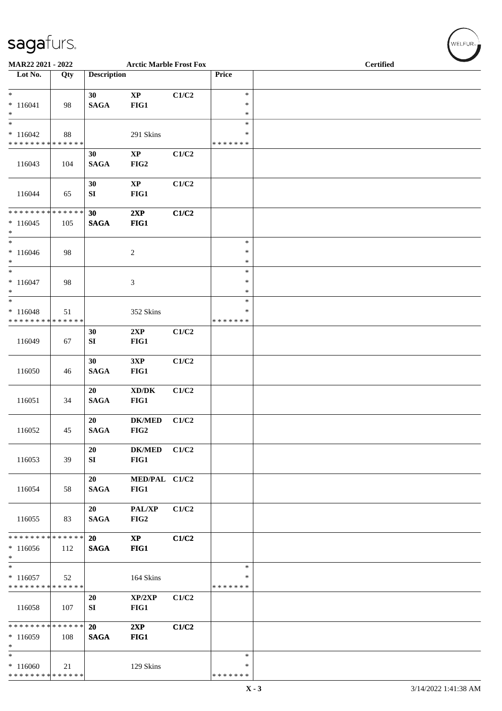| MAR22 2021 - 2022                                                    |               |                        | <b>Arctic Marble Frost Fox</b> |       |                              | <b>Certified</b> |
|----------------------------------------------------------------------|---------------|------------------------|--------------------------------|-------|------------------------------|------------------|
| Lot No.                                                              | Qty           | <b>Description</b>     |                                |       | Price                        |                  |
| $*$<br>$* 116041$<br>$\ast$                                          | 98            | 30<br><b>SAGA</b>      | $\bold{XP}$<br>FIG1            | C1/C2 | $\ast$<br>$\ast$<br>$\ast$   |                  |
| $\overline{\phantom{0}}$<br>$*116042$<br>* * * * * * * * * * * * * * | 88            |                        | 291 Skins                      |       | $\ast$<br>∗<br>* * * * * * * |                  |
| 116043                                                               | 104           | 30<br><b>SAGA</b>      | $\bold{XP}$<br>FIG2            | C1/C2 |                              |                  |
| 116044                                                               | 65            | 30<br>SI               | $\bold{XP}$<br>FIG1            | C1/C2 |                              |                  |
| ******** <mark>******</mark><br>$*116045$<br>$\ast$                  | 105           | 30<br><b>SAGA</b>      | 2XP<br>FIG1                    | C1/C2 |                              |                  |
| $*$<br>$* 116046$<br>$*$                                             | 98            |                        | $\overline{c}$                 |       | $\ast$<br>$\ast$<br>∗        |                  |
| $*$<br>$* 116047$<br>$\ast$                                          | 98            |                        | $\ensuremath{\mathfrak{Z}}$    |       | $\ast$<br>$\ast$<br>$\ast$   |                  |
| $\ast$<br>$* 116048$<br>* * * * * * * * * * * * * *                  | 51            |                        | 352 Skins                      |       | $\ast$<br>∗<br>* * * * * * * |                  |
| 116049                                                               | 67            | 30<br>${\bf S}{\bf I}$ | 2XP<br>FIG1                    | C1/C2 |                              |                  |
| 116050                                                               | 46            | 30<br><b>SAGA</b>      | 3XP<br>FIG1                    | C1/C2 |                              |                  |
| 116051                                                               | 34            | 20<br><b>SAGA</b>      | XD/DK<br>FIG1                  | C1/C2 |                              |                  |
| 116052                                                               | 45            | 20<br><b>SAGA</b>      | <b>DK/MED</b><br>FIG2          | C1/C2 |                              |                  |
| 116053                                                               | 39            | 20<br>SI               | ${\bf DK/MED}$<br>FIG1         | C1/C2 |                              |                  |
| 116054                                                               | 58            | 20<br><b>SAGA</b>      | MED/PAL C1/C2<br>FIG1          |       |                              |                  |
| 116055                                                               | 83            | 20<br><b>SAGA</b>      | PAL/XP<br>FIG2                 | C1/C2 |                              |                  |
| * * * * * * * *<br>$*116056$<br>$*$                                  | ******<br>112 | 20<br><b>SAGA</b>      | $\mathbf{X}\mathbf{P}$<br>FIG1 | C1/C2 |                              |                  |
| $*$<br>$*116057$<br>* * * * * * * * * * * * * *                      | 52            |                        | 164 Skins                      |       | $\ast$<br>∗<br>* * * * * * * |                  |
| 116058                                                               | 107           | 20<br>SI               | XP/2XP<br>FIG1                 | C1/C2 |                              |                  |
| * * * * * * * * * * * * * * *<br>$*116059$<br>$*$                    | 108           | 20<br><b>SAGA</b>      | 2XP<br>FIG1                    | C1/C2 |                              |                  |
| $\overline{\phantom{0}}$<br>$*116060$<br>* * * * * * * * * * * * * * | 21            |                        | 129 Skins                      |       | $\ast$<br>∗<br>* * * * * * * |                  |

 $(w$ ELFUR<sub><sup>N</sub></sub></sub></sup>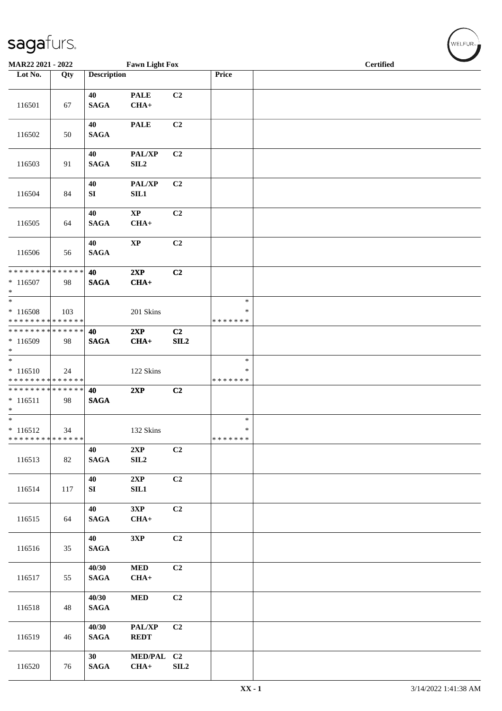| MAR22 2021 - 2022                                                             |     |                       | <b>Fawn Light Fox</b>               |                              |                                   |  | <b>Certified</b> | $\overline{\phantom{0}}$ |
|-------------------------------------------------------------------------------|-----|-----------------------|-------------------------------------|------------------------------|-----------------------------------|--|------------------|--------------------------|
| Lot No.                                                                       | Qty | <b>Description</b>    |                                     |                              | Price                             |  |                  |                          |
| 116501                                                                        | 67  | 40<br><b>SAGA</b>     | <b>PALE</b><br>$CHA+$               | C <sub>2</sub>               |                                   |  |                  |                          |
| 116502                                                                        | 50  | 40<br><b>SAGA</b>     | <b>PALE</b>                         | C <sub>2</sub>               |                                   |  |                  |                          |
| 116503                                                                        | 91  | 40<br><b>SAGA</b>     | PAL/XP<br>SL2                       | C2                           |                                   |  |                  |                          |
| 116504                                                                        | 84  | 40<br>SI              | PAL/XP<br>SL1                       | C <sub>2</sub>               |                                   |  |                  |                          |
| 116505                                                                        | 64  | 40<br><b>SAGA</b>     | $\mathbf{X}\mathbf{P}$<br>$CHA+$    | C <sub>2</sub>               |                                   |  |                  |                          |
| 116506                                                                        | 56  | 40<br><b>SAGA</b>     | $\mathbf{XP}$                       | C <sub>2</sub>               |                                   |  |                  |                          |
| * * * * * * * * * * * * * * *<br>$* 116507$<br>$*$                            | 98  | 40<br><b>SAGA</b>     | 2XP<br>$CHA+$                       | C2                           |                                   |  |                  |                          |
| $\overline{\ast}$<br>$* 116508$<br>* * * * * * * * <mark>* * * * * * *</mark> | 103 |                       | 201 Skins                           |                              | $\ast$<br>$\ast$<br>* * * * * * * |  |                  |                          |
| * * * * * * * * * * * * * * *<br>* 116509<br>$*$                              | 98  | 40<br><b>SAGA</b>     | 2XP<br>$CHA+$                       | C <sub>2</sub><br>SL2        |                                   |  |                  |                          |
| $* 116510$<br>* * * * * * * * <mark>* * * * * * *</mark>                      | 24  |                       | 122 Skins                           |                              | $\ast$<br>∗<br>* * * * * * *      |  |                  |                          |
| * * * * * * * * * * * * * * *<br>$* 116511$<br>$*$                            | 98  | 40<br><b>SAGA</b>     | 2XP                                 | C2                           |                                   |  |                  |                          |
| $*$<br>$* 116512$<br>* * * * * * * * * * * * * *                              | 34  |                       | 132 Skins                           |                              | $\ast$<br>$\ast$<br>*******       |  |                  |                          |
| 116513                                                                        | 82  | 40<br>$\mathbf{SAGA}$ | 2XP<br>$\ensuremath{\mathrm{SIL2}}$ | C2                           |                                   |  |                  |                          |
| 116514                                                                        | 117 | 40<br>SI              | 2XP<br>SIL1                         | C <sub>2</sub>               |                                   |  |                  |                          |
| 116515                                                                        | 64  | 40<br><b>SAGA</b>     | 3XP<br>$CHA+$                       | C2                           |                                   |  |                  |                          |
| 116516                                                                        | 35  | 40<br><b>SAGA</b>     | 3XP                                 | C2                           |                                   |  |                  |                          |
| 116517                                                                        | 55  | 40/30<br><b>SAGA</b>  | $\bf MED$<br>$CHA+$                 | C <sub>2</sub>               |                                   |  |                  |                          |
| 116518                                                                        | 48  | 40/30<br><b>SAGA</b>  | $\bf MED$                           | C2                           |                                   |  |                  |                          |
| 116519                                                                        | 46  | 40/30<br><b>SAGA</b>  | PAL/XP<br><b>REDT</b>               | C2                           |                                   |  |                  |                          |
| 116520                                                                        | 76  | 30<br><b>SAGA</b>     | MED/PAL C2<br>$CHA+$                | $\ensuremath{\mathrm{SIL2}}$ |                                   |  |                  |                          |

WELFUR<sub><sup>N</sub></sub></sub></sup>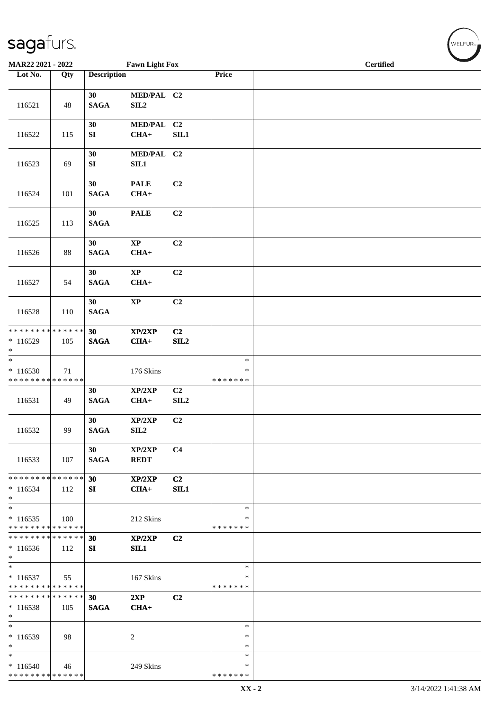| MAR22 2021 - 2022                                                      |     |                                    | <b>Fawn Light Fox</b>          |                        |                              |  |  | Certified |  |  |
|------------------------------------------------------------------------|-----|------------------------------------|--------------------------------|------------------------|------------------------------|--|--|-----------|--|--|
| Lot No.                                                                | Qty | <b>Description</b>                 |                                |                        | Price                        |  |  |           |  |  |
| 116521                                                                 | 48  | 30 <sup>°</sup><br>$\mathbf{SAGA}$ | MED/PAL C2<br>SIL <sub>2</sub> |                        |                              |  |  |           |  |  |
| 116522                                                                 | 115 | 30<br>SI                           | MED/PAL C2<br>$CHA+$           | SIL1                   |                              |  |  |           |  |  |
| 116523                                                                 | 69  | 30<br>${\bf S}{\bf I}$             | MED/PAL C2<br>SL1              |                        |                              |  |  |           |  |  |
| 116524                                                                 | 101 | 30<br><b>SAGA</b>                  | <b>PALE</b><br>$CHA+$          | C2                     |                              |  |  |           |  |  |
| 116525                                                                 | 113 | 30<br><b>SAGA</b>                  | <b>PALE</b>                    | C <sub>2</sub>         |                              |  |  |           |  |  |
| 116526                                                                 | 88  | 30<br><b>SAGA</b>                  | $\mathbf{XP}$<br>$CHA+$        | C <sub>2</sub>         |                              |  |  |           |  |  |
| 116527                                                                 | 54  | 30<br>$\mathbf{SAGA}$              | $\bold{XP}$<br>$CHA+$          | C <sub>2</sub>         |                              |  |  |           |  |  |
| 116528                                                                 | 110 | 30 <sup>°</sup><br>$\mathbf{SAGA}$ | $\bold{XP}$                    | C2                     |                              |  |  |           |  |  |
| ******** <mark>******</mark><br>$*116529$<br>$\ast$                    | 105 | 30 <sup>°</sup><br><b>SAGA</b>     | XP/2XP<br>$CHA+$               | C <sub>2</sub><br>SL2  |                              |  |  |           |  |  |
| $\overline{\phantom{a}^*}$<br>$*116530$<br>* * * * * * * * * * * * * * | 71  |                                    | 176 Skins                      |                        | $\ast$<br>∗<br>* * * * * * * |  |  |           |  |  |
| 116531                                                                 | 49  | 30<br><b>SAGA</b>                  | XP/2XP<br>$CHA+$               | C <sub>2</sub><br>SLL2 |                              |  |  |           |  |  |
| 116532                                                                 | 99  | 30<br><b>SAGA</b>                  | XP/2XP<br>SIL <sub>2</sub>     | C <sub>2</sub>         |                              |  |  |           |  |  |
| 116533                                                                 | 107 | 30<br><b>SAGA</b>                  | XP/2XP<br><b>REDT</b>          | C <sub>4</sub>         |                              |  |  |           |  |  |
| * * * * * * * * * * * * * *<br>$*116534$<br>$*$                        | 112 | 30<br>SI                           | XP/2XP<br>$CHA+$               | C <sub>2</sub><br>SIL1 |                              |  |  |           |  |  |
| $\ast$<br>$*116535$<br>* * * * * * * * * * * * * *                     | 100 |                                    | 212 Skins                      |                        | $\ast$<br>∗<br>* * * * * * * |  |  |           |  |  |
| * * * * * * * * * * * * * *<br>$*116536$<br>$*$                        | 112 | 30<br>SI                           | XP/2XP<br>SIL1                 | C2                     |                              |  |  |           |  |  |
| $*$<br>$*116537$<br>* * * * * * * * * * * * * *                        | 55  |                                    | 167 Skins                      |                        | $\ast$<br>∗<br>* * * * * * * |  |  |           |  |  |
| * * * * * * * * * * * * * *<br>$*116538$<br>$\ast$                     | 105 | 30<br><b>SAGA</b>                  | 2XP<br>$CHA+$                  | C <sub>2</sub>         |                              |  |  |           |  |  |
| $\ast$<br>$*116539$<br>$\ast$                                          | 98  |                                    | 2                              |                        | $\ast$<br>$\ast$<br>*        |  |  |           |  |  |
| $\ast$<br>$* 116540$<br>* * * * * * * * * * * * * *                    | 46  |                                    | 249 Skins                      |                        | $\ast$<br>∗<br>* * * * * * * |  |  |           |  |  |

 $\left(\begin{smallmatrix} \mathsf{WELFLR}_{\mathbb{W}}\end{smallmatrix}\right)$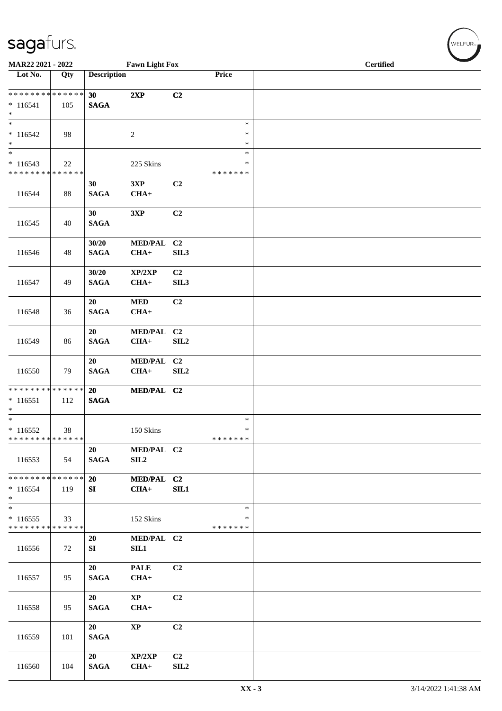| MAR22 2021 - 2022<br><b>Fawn Light Fox</b>                            |     |                      |                                  |                                    |                                   | <b>Certified</b> |
|-----------------------------------------------------------------------|-----|----------------------|----------------------------------|------------------------------------|-----------------------------------|------------------|
| Lot No.                                                               | Qty | <b>Description</b>   |                                  |                                    | Price                             |                  |
| * * * * * * * * * * * * * *<br>$* 116541$<br>$\ast$                   | 105 | 30<br><b>SAGA</b>    | 2XP                              | C2                                 |                                   |                  |
| $\overline{\phantom{0}}$<br>$*116542$<br>$\ast$                       | 98  |                      | $\sqrt{2}$                       |                                    | $\ast$<br>$\ast$<br>$\ast$        |                  |
| $\overline{\phantom{0}}$<br>$* 116543$<br>* * * * * * * * * * * * * * | 22  |                      | 225 Skins                        |                                    | $\ast$<br>$\ast$<br>* * * * * * * |                  |
| 116544                                                                | 88  | 30<br><b>SAGA</b>    | 3XP<br>$CHA+$                    | C2                                 |                                   |                  |
| 116545                                                                | 40  | 30<br><b>SAGA</b>    | 3XP                              | C2                                 |                                   |                  |
| 116546                                                                | 48  | 30/20<br><b>SAGA</b> | <b>MED/PAL</b><br>$CHA+$         | C <sub>2</sub><br>SIL3             |                                   |                  |
| 116547                                                                | 49  | 30/20<br><b>SAGA</b> | XP/2XP<br>$CHA+$                 | C <sub>2</sub><br>SIL <sub>3</sub> |                                   |                  |
| 116548                                                                | 36  | 20<br><b>SAGA</b>    | <b>MED</b><br>$CHA+$             | C2                                 |                                   |                  |
| 116549                                                                | 86  | 20<br><b>SAGA</b>    | MED/PAL C2<br>$CHA+$             | SIL <sub>2</sub>                   |                                   |                  |
| 116550                                                                | 79  | 20<br><b>SAGA</b>    | MED/PAL C2<br>$CHA+$             | SIL2                               |                                   |                  |
| ******** <mark>******</mark><br>$*116551$<br>$\ast$                   | 112 | 20<br><b>SAGA</b>    | MED/PAL C2                       |                                    |                                   |                  |
| $\overline{\phantom{0}}$<br>$* 116552$<br>* * * * * * * * * * * * * * | 38  |                      | 150 Skins                        |                                    | $\ast$<br>$\ast$<br>* * * * * * * |                  |
| 116553                                                                | 54  | 20<br><b>SAGA</b>    | MED/PAL C2<br>SIL <sub>2</sub>   |                                    |                                   |                  |
| * * * * * * * * * * * * * * *<br>$*116554$<br>$*$                     | 119 | 20<br>SI             | MED/PAL C2<br>$CHA+$             | SIL1                               |                                   |                  |
| $*$<br>$*116555$<br>* * * * * * * * * * * * * *                       | 33  |                      | 152 Skins                        |                                    | $\ast$<br>∗<br>* * * * * * *      |                  |
| 116556                                                                | 72  | 20<br>SI             | MED/PAL C2<br>SIL1               |                                    |                                   |                  |
| 116557                                                                | 95  | 20<br><b>SAGA</b>    | <b>PALE</b><br>$CHA+$            | C2                                 |                                   |                  |
| 116558                                                                | 95  | 20<br><b>SAGA</b>    | $\mathbf{X}\mathbf{P}$<br>$CHA+$ | C2                                 |                                   |                  |
| 116559                                                                | 101 | 20<br><b>SAGA</b>    | <b>XP</b>                        | C <sub>2</sub>                     |                                   |                  |
| 116560                                                                | 104 | 20<br><b>SAGA</b>    | XP/2XP<br>$CHA+$                 | C <sub>2</sub><br>SIL <sub>2</sub> |                                   |                  |

 $(w$ ELFUR<sub>m</sub>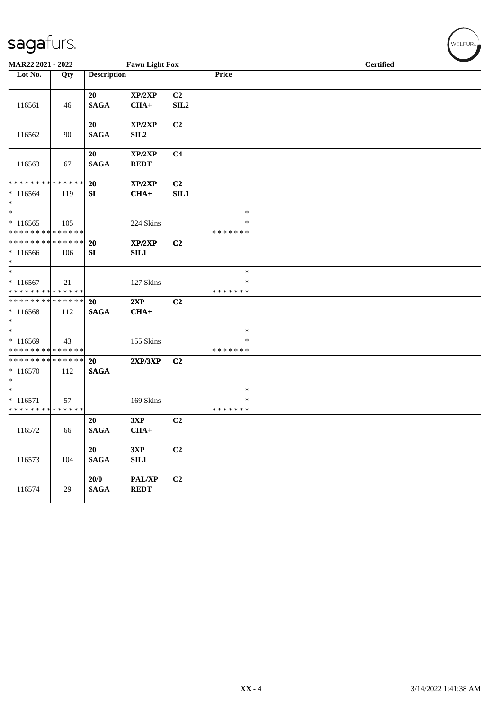| MAR22 2021 - 2022                                             |     |                       | <b>Fawn Light Fox</b>      |                        |                              | <b>Certified</b> |
|---------------------------------------------------------------|-----|-----------------------|----------------------------|------------------------|------------------------------|------------------|
| Lot No.                                                       | Qty | <b>Description</b>    |                            |                        | Price                        |                  |
| 116561                                                        | 46  | 20<br><b>SAGA</b>     | XP/2XP<br>$CHA+$           | C <sub>2</sub><br>SLL2 |                              |                  |
| 116562                                                        | 90  | 20<br><b>SAGA</b>     | XP/2XP<br>SIL <sub>2</sub> | C2                     |                              |                  |
| 116563                                                        | 67  | 20<br><b>SAGA</b>     | XP/2XP<br><b>REDT</b>      | C <sub>4</sub>         |                              |                  |
| * * * * * * * * * * * * * *<br>$*116564$<br>$*$               | 119 | 20<br>SI              | XP/2XP<br>$CHA+$           | C <sub>2</sub><br>SL1  |                              |                  |
| $\overline{\ast}$<br>$*116565$<br>* * * * * * * * * * * * * * | 105 |                       | 224 Skins                  |                        | $\ast$<br>∗<br>* * * * * * * |                  |
| * * * * * * * * * * * * * * *<br>$*116566$<br>$*$             | 106 | <b>20</b><br>SI       | XP/2XP<br>SIL1             | C <sub>2</sub>         |                              |                  |
| $*$<br>$*116567$<br>* * * * * * * * * * * * * *               | 21  |                       | 127 Skins                  |                        | $\ast$<br>∗<br>* * * * * * * |                  |
| * * * * * * * * * * * * * * *<br>$*116568$<br>$*$             | 112 | 20<br><b>SAGA</b>     | 2XP<br>$CHA+$              | C <sub>2</sub>         |                              |                  |
| $*$<br>* 116569<br>* * * * * * * * * * * * * *                | 43  |                       | 155 Skins                  |                        | $\ast$<br>∗<br>* * * * * * * |                  |
| * * * * * * * * * * * * * * *<br>$* 116570$<br>$\ast$         | 112 | 20<br><b>SAGA</b>     | 2XP/3XP                    | C <sub>2</sub>         |                              |                  |
| $*$<br>$* 116571$<br>* * * * * * * * * * * * * *              | 57  |                       | 169 Skins                  |                        | $\ast$<br>∗<br>* * * * * * * |                  |
| 116572                                                        | 66  | 20<br><b>SAGA</b>     | 3XP<br>$CHA+$              | C <sub>2</sub>         |                              |                  |
| 116573                                                        | 104 | 20<br>$\mathbf{SAGA}$ | 3XP<br>SIL1                | C <sub>2</sub>         |                              |                  |
| 116574                                                        | 29  | $20/0$<br><b>SAGA</b> | PAL/XP<br><b>REDT</b>      | C <sub>2</sub>         |                              |                  |

 $(\forall ELFUR_{\approx})$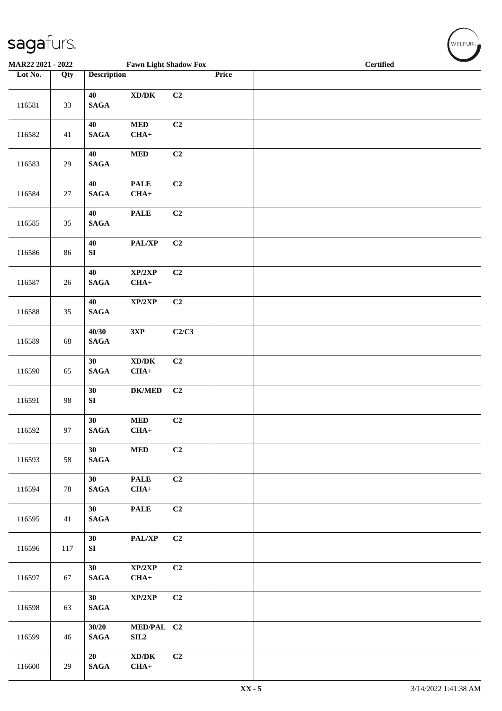| $\tilde{\phantom{a}}$    |        |                                    |                                                       |       |       |                  |
|--------------------------|--------|------------------------------------|-------------------------------------------------------|-------|-------|------------------|
| <b>MAR22 2021 - 2022</b> |        |                                    | <b>Fawn Light Shadow Fox</b>                          |       |       | <b>Certified</b> |
| Lot No.                  | Qty    | <b>Description</b>                 |                                                       |       | Price |                  |
| 116581                   | 33     | 40<br><b>SAGA</b>                  | $\bold{X}\bold{D}/\bold{D}\bold{K}$                   | C2    |       |                  |
| 116582                   | $41\,$ | 40<br><b>SAGA</b>                  | $\bf MED$<br>$CHA+$                                   | C2    |       |                  |
| 116583                   | $29\,$ | 40<br>$\mathbf{SAGA}$              | <b>MED</b>                                            | C2    |       |                  |
| 116584                   | $27\,$ | 40<br><b>SAGA</b>                  | <b>PALE</b><br>$CHA+$                                 | C2    |       |                  |
| 116585                   | $35\,$ | 40<br>$\mathbf{SAGA}$              | <b>PALE</b>                                           | C2    |       |                  |
| 116586                   | 86     | $40\,$<br>${\bf S}{\bf I}$         | PAL/XP                                                | C2    |       |                  |
| 116587                   | 26     | 40<br><b>SAGA</b>                  | XP/2XP<br>$CHA+$                                      | C2    |       |                  |
| 116588                   | 35     | 40<br>$\mathbf{SAGA}$              | $\mathbf{XP}/2\mathbf{XP}$                            | C2    |       |                  |
| 116589                   | 68     | 40/30<br>$\mathbf{SAGA}$           | $3{\bf X}{\bf P}$                                     | C2/C3 |       |                  |
| 116590                   | 65     | 30<br>$\mathbf{SAGA}$              | $\bold{X}\bold{D}/\bold{D}\bold{K}$<br>$CHA+$         | C2    |       |                  |
| 116591                   | 98     | 30<br>${\bf S}{\bf I}$             | $DK/MED$                                              | C2    |       |                  |
| 116592                   | 97     | 30<br>$\mathbf{SAGA}$              | <b>MED</b><br>$CHA+$                                  | C2    |       |                  |
| 116593                   | 58     | 30 <sup>°</sup><br><b>SAGA</b>     | $\bf MED$                                             | C2    |       |                  |
| 116594                   | 78     | 30<br><b>SAGA</b>                  | <b>PALE</b><br>$CHA+$                                 | C2    |       |                  |
| 116595                   | 41     | 30<br>$\mathbf{SAGA}$              | <b>PALE</b>                                           | C2    |       |                  |
| 116596                   | 117    | 30<br>${\bf SI}$                   | PAL/XP                                                | C2    |       |                  |
| 116597                   | 67     | 30<br><b>SAGA</b>                  | XP/2XP<br>$CHA+$                                      | C2    |       |                  |
| 116598                   | 63     | 30 <sup>°</sup><br>$\mathbf{SAGA}$ | XP/2XP                                                | C2    |       |                  |
| 116599                   | 46     | 30/20<br><b>SAGA</b>               | MED/PAL C2<br>SL2                                     |       |       |                  |
| 116600                   | 29     | 20<br>$\mathbf{SAGA}$              | $\mathbf{X}\mathbf{D}/\mathbf{D}\mathbf{K}$<br>$CHA+$ | C2    |       |                  |

WELFUR<sub><sup>N</sup></sub>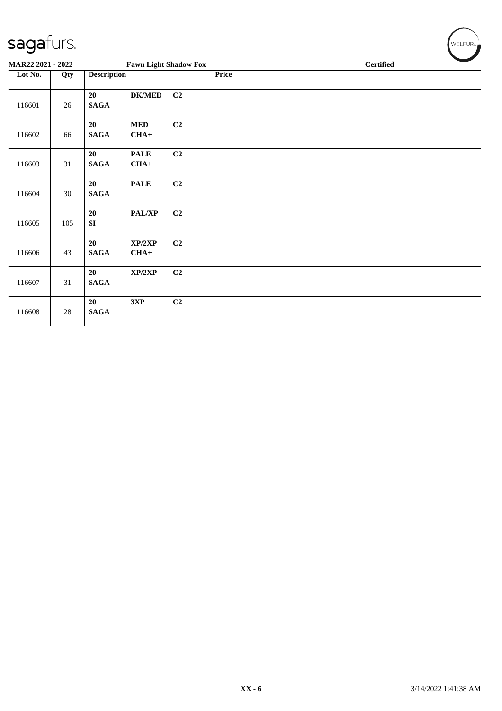| sagafurs.         |        |                    |                              |                |       |  |                  | WELFUR- |
|-------------------|--------|--------------------|------------------------------|----------------|-------|--|------------------|---------|
| MAR22 2021 - 2022 |        |                    | <b>Fawn Light Shadow Fox</b> |                |       |  | <b>Certified</b> |         |
| Lot No.           | Qty    | <b>Description</b> |                              |                | Price |  |                  |         |
| 116601            | $26\,$ | 20<br><b>SAGA</b>  | <b>DK/MED</b>                | C <sub>2</sub> |       |  |                  |         |
| 116602            | 66     | 20<br><b>SAGA</b>  | $\bf MED$<br>$CHA+$          | C2             |       |  |                  |         |
| 116603            | 31     | 20<br><b>SAGA</b>  | <b>PALE</b><br>$CHA+$        | C2             |       |  |                  |         |
| 116604            | 30     | 20<br><b>SAGA</b>  | <b>PALE</b>                  | C2             |       |  |                  |         |
| 116605            | 105    | 20<br>SI           | PAL/XP                       | C2             |       |  |                  |         |
| 116606            | 43     | 20<br><b>SAGA</b>  | XP/2XP<br>$CHA+$             | C2             |       |  |                  |         |
| 116607            | 31     | 20<br><b>SAGA</b>  | XP/2XP                       | C2             |       |  |                  |         |
| 116608            | 28     | 20<br><b>SAGA</b>  | 3XP                          | C2             |       |  |                  |         |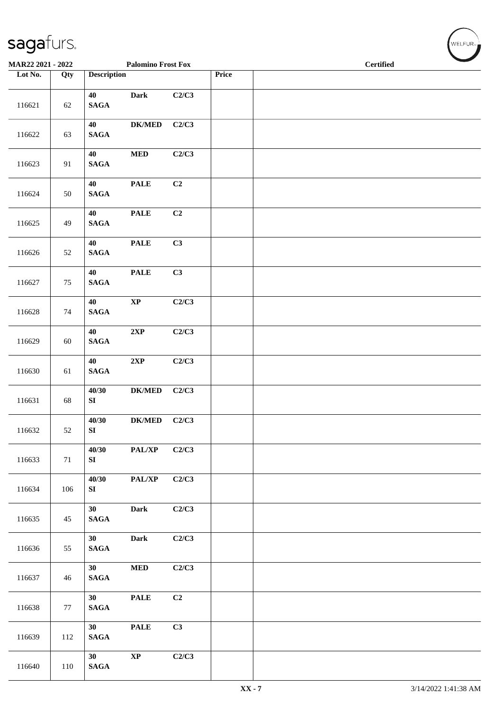| MAR22 2021 - 2022 |        |                                    | <b>Palomino Frost Fox</b>        |       |       | <b>Certified</b> |
|-------------------|--------|------------------------------------|----------------------------------|-------|-------|------------------|
| Lot No.           | Qty    | <b>Description</b>                 |                                  |       | Price |                  |
| 116621            | $62\,$ | 40<br>$\mathbf{SAGA}$              | <b>Dark</b>                      | C2/C3 |       |                  |
| 116622            | 63     | 40<br>$\mathbf{SAGA}$              | ${\bf DK/MED}$                   | C2/C3 |       |                  |
| 116623            | 91     | 40<br>$\mathbf{SAGA}$              | $\bf MED$                        | C2/C3 |       |                  |
| 116624            | 50     | 40<br>$\mathbf{SAGA}$              | <b>PALE</b>                      | C2    |       |                  |
| 116625            | 49     | 40<br>$\mathbf{SAGA}$              | <b>PALE</b>                      | C2    |       |                  |
| 116626            | 52     | 40<br>$\mathbf{SAGA}$              | <b>PALE</b>                      | C3    |       |                  |
| 116627            | $75\,$ | 40<br>$\mathbf{SAGA}$              | $\ensuremath{\mathop{\bf PALE}}$ | C3    |       |                  |
| 116628            | 74     | 40<br>$\mathbf{SAGA}$              | $\bold{XP}$                      | C2/C3 |       |                  |
| 116629            | 60     | 40<br>$\mathbf{SAGA}$              | $2{\bf XP}$                      | C2/C3 |       |                  |
| 116630            | 61     | 40<br>$\mathbf{SAGA}$              | 2XP                              | C2/C3 |       |                  |
| 116631            | 68     | 40/30<br>${\bf S}{\bf I}$          | $DK/MED$                         | C2/C3 |       |                  |
| 116632            | 52     | 40/30<br>SI                        | ${\bf DK/MED}$                   | C2/C3 |       |                  |
| 116633            | 71     | 40/30<br>SI                        | PAL/XP                           | C2/C3 |       |                  |
| 116634            | 106    | 40/30<br>SI                        | PAL/XP                           | C2/C3 |       |                  |
| 116635            | 45     | 30<br>$\mathbf{SAGA}$              | Dark                             | C2/C3 |       |                  |
| 116636            | 55     | 30 <sup>°</sup><br>$\mathbf{SAGA}$ | <b>Dark</b>                      | C2/C3 |       |                  |
| 116637            | 46     | 30 <sup>°</sup><br>$\mathbf{SAGA}$ | $\bf MED$                        | C2/C3 |       |                  |
| 116638            | 77     | 30<br><b>SAGA</b>                  | <b>PALE</b>                      | C2    |       |                  |
| 116639            | 112    | 30<br>$\mathbf{SAGA}$              | <b>PALE</b>                      | C3    |       |                  |
| 116640            | 110    | 30<br>$\mathbf{SAGA}$              | $\bold{XP}$                      | C2/C3 |       |                  |

 $(\sqrt{\text{WELFUR}_{n}})$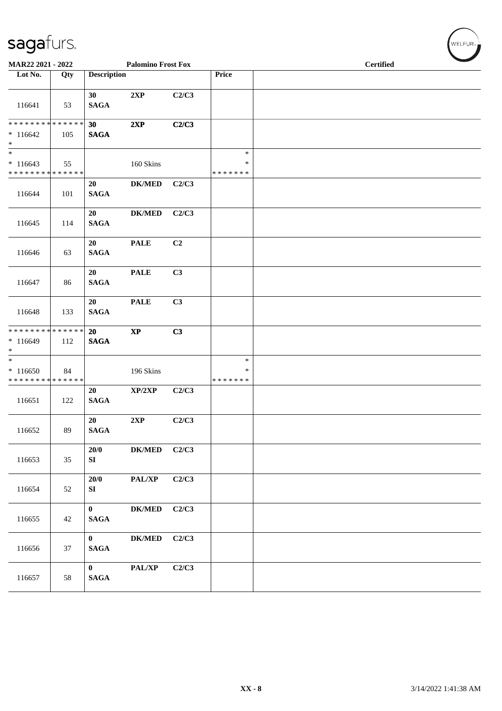| MAR22 2021 - 2022                                   |     |                             | <b>Palomino Frost Fox</b>    |                |                                   | <b>Certified</b> |
|-----------------------------------------------------|-----|-----------------------------|------------------------------|----------------|-----------------------------------|------------------|
| Lot No.                                             | Qty | <b>Description</b>          |                              |                | Price                             |                  |
| 116641                                              | 53  | 30<br><b>SAGA</b>           | 2XP                          | C2/C3          |                                   |                  |
| ******** <mark>******</mark><br>$*116642$<br>$\ast$ | 105 | 30<br><b>SAGA</b>           | 2XP                          | C2/C3          |                                   |                  |
| $\ast$<br>$*116643$<br>******** <mark>******</mark> | 55  |                             | 160 Skins                    |                | $\ast$<br>$\ast$<br>* * * * * * * |                  |
| 116644                                              | 101 | 20<br><b>SAGA</b>           | $DK/MED$                     | C2/C3          |                                   |                  |
| 116645                                              | 114 | 20<br><b>SAGA</b>           | $DK/MED$                     | C2/C3          |                                   |                  |
| 116646                                              | 63  | 20<br><b>SAGA</b>           | <b>PALE</b>                  | C <sub>2</sub> |                                   |                  |
| 116647                                              | 86  | 20<br><b>SAGA</b>           | <b>PALE</b>                  | C3             |                                   |                  |
| 116648                                              | 133 | 20<br><b>SAGA</b>           | $\ensuremath{\mathsf{PALE}}$ | C3             |                                   |                  |
| * * * * * * * * * * * * * *<br>$*116649$<br>$\ast$  | 112 | 20<br><b>SAGA</b>           | $\bold{XP}$                  | C3             |                                   |                  |
| $\ast$<br>$*116650$<br>* * * * * * * * * * * * * *  | 84  |                             | 196 Skins                    |                | $\ast$<br>$\ast$<br>* * * * * * * |                  |
| 116651                                              | 122 | 20<br><b>SAGA</b>           | XP/2XP                       | C2/C3          |                                   |                  |
| 116652                                              | 89  | 20<br><b>SAGA</b>           | 2XP                          | C2/C3          |                                   |                  |
| 116653                                              | 35  | 20/0<br>SI                  | DK/MED C2/C3                 |                |                                   |                  |
| 116654                                              | 52  | 20/0<br>SI                  | $\mathbf{PAL}/\mathbf{XP}$   | C2/C3          |                                   |                  |
| 116655                                              | 42  | $\mathbf{0}$<br><b>SAGA</b> | <b>DK/MED</b>                | C2/C3          |                                   |                  |
| 116656                                              | 37  | $\mathbf{0}$<br><b>SAGA</b> | <b>DK/MED</b>                | C2/C3          |                                   |                  |
| 116657                                              | 58  | $\mathbf{0}$<br><b>SAGA</b> | PAL/XP                       | C2/C3          |                                   |                  |

 $(\forall ELFUR_{\approx})$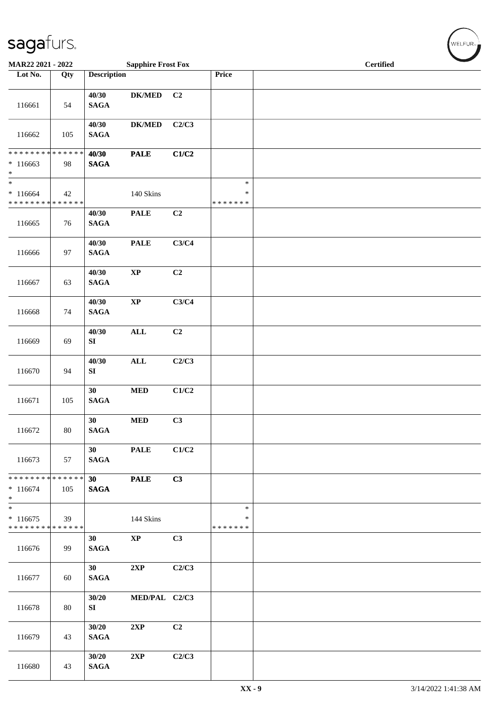| MAR22 2021 - 2022                                              |     |                                    | <b>Sapphire Frost Fox</b> |       |                                   | <b>Certified</b> |
|----------------------------------------------------------------|-----|------------------------------------|---------------------------|-------|-----------------------------------|------------------|
| Lot No.                                                        | Qty | <b>Description</b>                 |                           |       | Price                             |                  |
| 116661                                                         | 54  | 40/30<br><b>SAGA</b>               | $DK/MED$                  | C2    |                                   |                  |
| 116662                                                         | 105 | 40/30<br><b>SAGA</b>               | $DK/MED$                  | C2/C3 |                                   |                  |
| ******** <mark>******</mark><br>$*116663$<br>$\ast$            | 98  | 40/30<br>$\mathbf{SAGA}$           | <b>PALE</b>               | C1/C2 |                                   |                  |
| $\overline{\ast}$<br>$*116664$<br>******** <mark>******</mark> | 42  |                                    | 140 Skins                 |       | $\ast$<br>$\ast$<br>* * * * * * * |                  |
| 116665                                                         | 76  | 40/30<br><b>SAGA</b>               | <b>PALE</b>               | C2    |                                   |                  |
| 116666                                                         | 97  | 40/30<br><b>SAGA</b>               | <b>PALE</b>               | C3/C4 |                                   |                  |
| 116667                                                         | 63  | 40/30<br><b>SAGA</b>               | $\bold{XP}$               | C2    |                                   |                  |
| 116668                                                         | 74  | 40/30<br><b>SAGA</b>               | $\bold{XP}$               | C3/C4 |                                   |                  |
| 116669                                                         | 69  | 40/30<br>SI                        | $\mathbf{ALL}$            | C2    |                                   |                  |
| 116670                                                         | 94  | 40/30<br>SI                        | <b>ALL</b>                | C2/C3 |                                   |                  |
| 116671                                                         | 105 | 30<br>$\mathbf{SAGA}$              | $\bf MED$                 | C1/C2 |                                   |                  |
| 116672                                                         | 80  | 30<br>$\mathbf{SAGA}$              | <b>MED</b>                | C3    |                                   |                  |
| 116673                                                         | 57  | 30 <sup>2</sup><br><b>SAGA</b>     | <b>PALE</b>               | C1/C2 |                                   |                  |
| ******** <mark>******</mark><br>$*116674$<br>$*$               | 105 | 30 <sub>o</sub><br>$\mathbf{SAGA}$ | <b>PALE</b>               | C3    |                                   |                  |
| $\overline{\ast}$<br>$*116675$<br>* * * * * * * * * * * * * *  | 39  |                                    | 144 Skins                 |       | $\ast$<br>∗<br>* * * * * * *      |                  |
| 116676                                                         | 99  | 30<br><b>SAGA</b>                  | $\mathbf{X}\mathbf{P}$    | C3    |                                   |                  |
| 116677                                                         | 60  | 30 <sup>2</sup><br><b>SAGA</b>     | 2XP                       | C2/C3 |                                   |                  |
| 116678                                                         | 80  | 30/20<br>SI                        | MED/PAL C2/C3             |       |                                   |                  |
| 116679                                                         | 43  | 30/20<br><b>SAGA</b>               | 2XP                       | C2    |                                   |                  |
| 116680                                                         | 43  | 30/20<br><b>SAGA</b>               | 2XP                       | C2/C3 |                                   |                  |

WELFUR<sub>"</sub>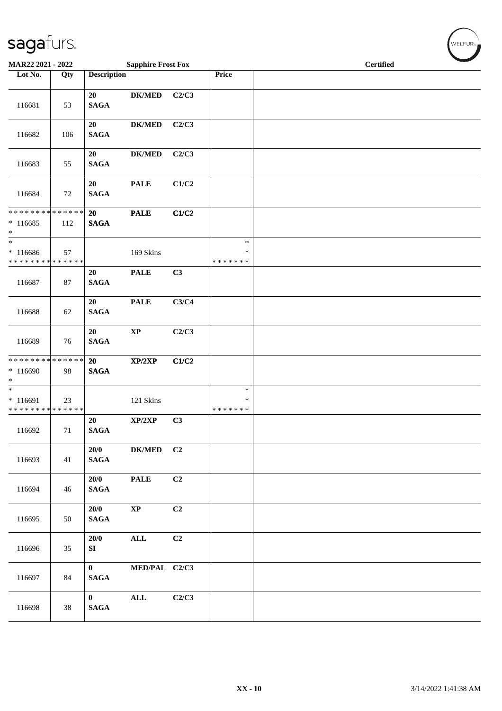| sagafurs.                                                      |     |                                 |                           |                |                                   |  |                  | WELFUR <sub>™I</sub> |
|----------------------------------------------------------------|-----|---------------------------------|---------------------------|----------------|-----------------------------------|--|------------------|----------------------|
| MAR22 2021 - 2022                                              |     |                                 | <b>Sapphire Frost Fox</b> |                |                                   |  | <b>Certified</b> |                      |
| Lot No.                                                        | Qty | <b>Description</b>              |                           |                | Price                             |  |                  |                      |
| 116681                                                         | 53  | 20<br><b>SAGA</b>               | <b>DK/MED</b>             | C2/C3          |                                   |  |                  |                      |
| 116682                                                         | 106 | 20<br><b>SAGA</b>               | <b>DK/MED</b>             | C2/C3          |                                   |  |                  |                      |
| 116683                                                         | 55  | 20<br><b>SAGA</b>               | <b>DK/MED</b>             | C2/C3          |                                   |  |                  |                      |
| 116684                                                         | 72  | 20<br><b>SAGA</b>               | <b>PALE</b>               | C1/C2          |                                   |  |                  |                      |
| * * * * * * * * * * * * * *<br>$*116685$<br>$\ast$             | 112 | 20<br><b>SAGA</b>               | <b>PALE</b>               | C1/C2          |                                   |  |                  |                      |
| $_{*}$<br>$*116686$<br>* * * * * * * * * * * * * * *           | 57  |                                 | 169 Skins                 |                | $\ast$<br>$\ast$<br>* * * * * * * |  |                  |                      |
| 116687                                                         | 87  | 20<br><b>SAGA</b>               | <b>PALE</b>               | C3             |                                   |  |                  |                      |
| 116688                                                         | 62  | 20<br><b>SAGA</b>               | <b>PALE</b>               | C3/C4          |                                   |  |                  |                      |
| 116689                                                         | 76  | 20<br><b>SAGA</b>               | $\bold{XP}$               | C2/C3          |                                   |  |                  |                      |
| * * * * * * * * <mark>* * * * * * *</mark><br>$*116690$<br>$*$ | 98  | 20<br><b>SAGA</b>               | XP/2XP                    | C1/C2          |                                   |  |                  |                      |
| $\frac{1}{1}$<br>$*116691$<br>* * * * * * * * * * * * * * *    | 23  |                                 | 121 Skins                 |                | $\ast$<br>$\ast$<br>*******       |  |                  |                      |
| 116692                                                         | 71  | 20<br><b>SAGA</b>               | XP/2XP                    | C3             |                                   |  |                  |                      |
| 116693                                                         | 41  | 20/0<br><b>SAGA</b>             | <b>DK/MED</b>             | C <sub>2</sub> |                                   |  |                  |                      |
| 116694                                                         | 46  | 20/0<br><b>SAGA</b>             | <b>PALE</b>               | C2             |                                   |  |                  |                      |
| 116695                                                         | 50  | 20/0<br><b>SAGA</b>             | $\mathbf{XP}$             | C2             |                                   |  |                  |                      |
| 116696                                                         | 35  | 20/0<br>SI                      | $\mathbf{ALL}$            | C2             |                                   |  |                  |                      |
| 116697                                                         | 84  | $\mathbf{0}$<br><b>SAGA</b>     | MED/PAL C2/C3             |                |                                   |  |                  |                      |
| 116698                                                         | 38  | $\mathbf{0}$<br>$\mathbf{SAGA}$ | $\mathbf{ALL}$            | C2/C3          |                                   |  |                  |                      |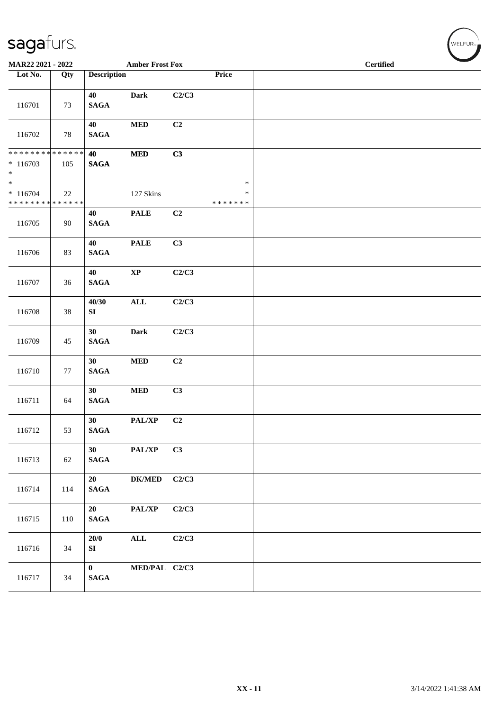| MAR22 2021 - 2022                                                      |        |                             | <b>Amber Frost Fox</b> |       |                                   | <b>Certified</b> |  |
|------------------------------------------------------------------------|--------|-----------------------------|------------------------|-------|-----------------------------------|------------------|--|
| Lot No.                                                                | Qty    | <b>Description</b>          |                        |       | Price                             |                  |  |
| 116701                                                                 | 73     | 40<br><b>SAGA</b>           | <b>Dark</b>            | C2/C3 |                                   |                  |  |
| 116702                                                                 | 78     | 40<br><b>SAGA</b>           | $\bf MED$              | C2    |                                   |                  |  |
| * * * * * * * * * * * * * *<br>$* 116703$<br>$*$                       | 105    | 40<br><b>SAGA</b>           | $\bf MED$              | C3    |                                   |                  |  |
| $\overline{\phantom{0}}$<br>$* 116704$<br>******** <mark>******</mark> | 22     |                             | 127 Skins              |       | $\ast$<br>$\ast$<br>* * * * * * * |                  |  |
| 116705                                                                 | 90     | 40<br><b>SAGA</b>           | <b>PALE</b>            | C2    |                                   |                  |  |
| 116706                                                                 | 83     | 40<br><b>SAGA</b>           | <b>PALE</b>            | C3    |                                   |                  |  |
| 116707                                                                 | 36     | 40<br><b>SAGA</b>           | $\bold{XP}$            | C2/C3 |                                   |                  |  |
| 116708                                                                 | $38\,$ | 40/30<br>${\bf SI}$         | $\mathbf{ALL}$         | C2/C3 |                                   |                  |  |
| 116709                                                                 | 45     | 30<br><b>SAGA</b>           | <b>Dark</b>            | C2/C3 |                                   |                  |  |
| 116710                                                                 | 77     | 30<br><b>SAGA</b>           | <b>MED</b>             | C2    |                                   |                  |  |
| 116711                                                                 | 64     | 30<br><b>SAGA</b>           | $\bf MED$              | C3    |                                   |                  |  |
| 116712                                                                 | 53     | 30<br><b>SAGA</b>           | PAL/XP                 | C2    |                                   |                  |  |
| 116713                                                                 | 62     | 30<br><b>SAGA</b>           | PAL/XP                 | C3    |                                   |                  |  |
| 116714                                                                 | 114    | 20<br><b>SAGA</b>           | DK/MED C2/C3           |       |                                   |                  |  |
| 116715                                                                 | 110    | 20<br><b>SAGA</b>           | PAL/XP                 | C2/C3 |                                   |                  |  |
| 116716                                                                 | 34     | 20/0<br>SI                  | ALL                    | C2/C3 |                                   |                  |  |
| 116717                                                                 | 34     | $\mathbf{0}$<br><b>SAGA</b> | MED/PAL C2/C3          |       |                                   |                  |  |

 $(\forall ELFUR_{\approx})$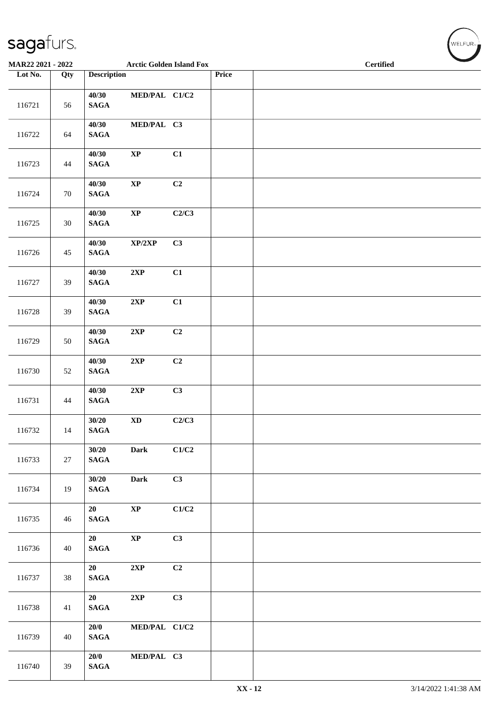| $\overline{\phantom{a}}$ |        |                          |                                 |       |       |                  |  |
|--------------------------|--------|--------------------------|---------------------------------|-------|-------|------------------|--|
| MAR22 2021 - 2022        |        |                          | <b>Arctic Golden Island Fox</b> |       |       | <b>Certified</b> |  |
| Lot No.                  | Qty    | <b>Description</b>       |                                 |       | Price |                  |  |
| 116721                   | 56     | 40/30<br><b>SAGA</b>     | MED/PAL C1/C2                   |       |       |                  |  |
| 116722                   | 64     | 40/30<br><b>SAGA</b>     | MED/PAL C3                      |       |       |                  |  |
| 116723                   | 44     | 40/30<br>$\mathbf{SAGA}$ | $\bold{XP}$                     | C1    |       |                  |  |
| 116724                   | 70     | 40/30<br><b>SAGA</b>     | $\bold{XP}$                     | C2    |       |                  |  |
| 116725                   | $30\,$ | 40/30<br>$\mathbf{SAGA}$ | $\bold{XP}$                     | C2/C3 |       |                  |  |
| 116726                   | 45     | 40/30<br>$\mathbf{SAGA}$ | XP/2XP                          | C3    |       |                  |  |
| 116727                   | 39     | 40/30<br><b>SAGA</b>     | 2XP                             | C1    |       |                  |  |
| 116728                   | 39     | 40/30<br><b>SAGA</b>     | 2XP                             | C1    |       |                  |  |
| 116729                   | 50     | 40/30<br>$\mathbf{SAGA}$ | 2XP                             | C2    |       |                  |  |
| 116730                   | 52     | 40/30<br>$\mathbf{SAGA}$ | $2{\bf XP}$                     | C2    |       |                  |  |
| 116731                   | 44     | 40/30<br>$\mathbf{SAGA}$ | $2{\bf XP}$                     | C3    |       |                  |  |
| 116732                   | 14     | 30/20<br><b>SAGA</b>     | $\mathbf{X}\mathbf{D}$          | C2/C3 |       |                  |  |
| 116733                   | 27     | 30/20<br><b>SAGA</b>     | <b>Dark</b>                     | C1/C2 |       |                  |  |
| 116734                   | 19     | 30/20<br>$\mathbf{SAGA}$ | Dark                            | C3    |       |                  |  |
| 116735                   | 46     | 20<br>$\mathbf{SAGA}$    | $\bold{XP}$                     | C1/C2 |       |                  |  |
| 116736                   | 40     | 20<br>$\mathbf{SAGA}$    | $\bold{XP}$                     | C3    |       |                  |  |
| 116737                   | 38     | 20<br>$\mathbf{SAGA}$    | 2XP                             | C2    |       |                  |  |
| 116738                   | 41     | 20<br>$\mathbf{SAGA}$    | 2XP                             | C3    |       |                  |  |
| 116739                   | 40     | 20/0<br><b>SAGA</b>      | MED/PAL C1/C2                   |       |       |                  |  |
| 116740                   | 39     | 20/0<br>$\mathbf{SAGA}$  | MED/PAL C3                      |       |       |                  |  |

WELFUR<sub>T</sub>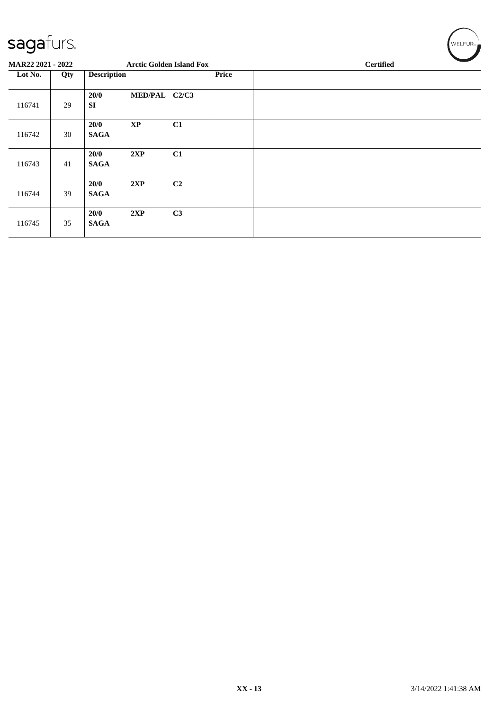| sagafurs.         |     |                     |                                 |                |              |                  |  | WELFUR <sub>™</sub> |  |  |
|-------------------|-----|---------------------|---------------------------------|----------------|--------------|------------------|--|---------------------|--|--|
| MAR22 2021 - 2022 |     |                     | <b>Arctic Golden Island Fox</b> |                |              | <b>Certified</b> |  |                     |  |  |
| Lot No.           | Qty | <b>Description</b>  |                                 |                | <b>Price</b> |                  |  |                     |  |  |
| 116741            | 29  | 20/0<br><b>SI</b>   | MED/PAL C2/C3                   |                |              |                  |  |                     |  |  |
| 116742            | 30  | 20/0<br><b>SAGA</b> | $\bold{XP}$                     | C1             |              |                  |  |                     |  |  |
| 116743            | 41  | 20/0<br><b>SAGA</b> | 2XP                             | C1             |              |                  |  |                     |  |  |
| 116744            | 39  | 20/0<br><b>SAGA</b> | 2XP                             | C <sub>2</sub> |              |                  |  |                     |  |  |
| 116745            | 35  | 20/0<br><b>SAGA</b> | 2XP                             | C3             |              |                  |  |                     |  |  |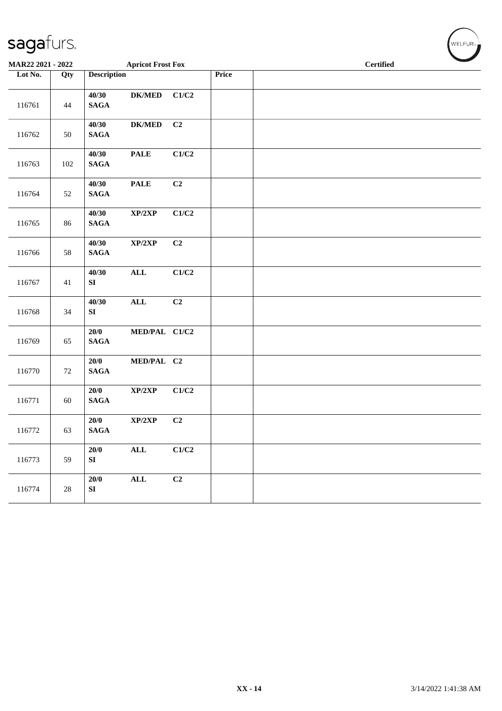| MAR22 2021 - 2022 |     |                                                                   | <b>Apricot Frost Fox</b>            |       | <b>Certified</b> |
|-------------------|-----|-------------------------------------------------------------------|-------------------------------------|-------|------------------|
| Lot No.           | Qty | <b>Description</b>                                                |                                     | Price |                  |
| 116761            | 44  | 40/30<br><b>SAGA</b>                                              | <b>DK/MED</b><br>C1/C2              |       |                  |
| 116762            | 50  | 40/30<br>$\mathbf{SAGA}$                                          | $DK/MED$<br>C2                      |       |                  |
| 116763            | 102 | 40/30<br><b>PALE</b><br>$\mathbf{SAGA}$                           | C1/C2                               |       |                  |
| 116764            | 52  | $\ensuremath{\mathop{\bf PALE}\nolimits}$<br>40/30<br><b>SAGA</b> | C2                                  |       |                  |
| 116765            | 86  | 40/30<br>$\mathbf{SAGA}$                                          | $\mathbf{XP}/2\mathbf{XP}$<br>C1/C2 |       |                  |
| 116766            | 58  | 40/30<br>$\mathbf{SAGA}$                                          | C2<br>XP/2XP                        |       |                  |
| 116767            | 41  | 40/30<br>$\mathbf{ALL}$<br>SI                                     | C1/C2                               |       |                  |
| 116768            | 34  | 40/30<br>$\mathbf{ALL}$<br>SI                                     | C2                                  |       |                  |
| 116769            | 65  | 20/0<br>$\mathbf{SAGA}$                                           | MED/PAL C1/C2                       |       |                  |
| 116770            | 72  | 20/0<br>$\mathbf{SAGA}$                                           | MED/PAL C2                          |       |                  |
| 116771            | 60  | 20/0<br>$\mathbf{SAGA}$                                           | C1/C2<br>XP/2XP                     |       |                  |
| 116772            | 63  | 20/0<br><b>SAGA</b>                                               | XP/2XP<br>C2                        |       |                  |
| 116773            | 59  | 20/0<br>$\mathbf{ALL}$<br>SI                                      | C1/C2                               |       |                  |
| 116774            | 28  | 20/0<br>$\mathbf{ALL}$<br>SI                                      | C2                                  |       |                  |
|                   |     |                                                                   |                                     |       |                  |

 $w$ ELFUR<sub><sup>n</sub></sub></sub></sup>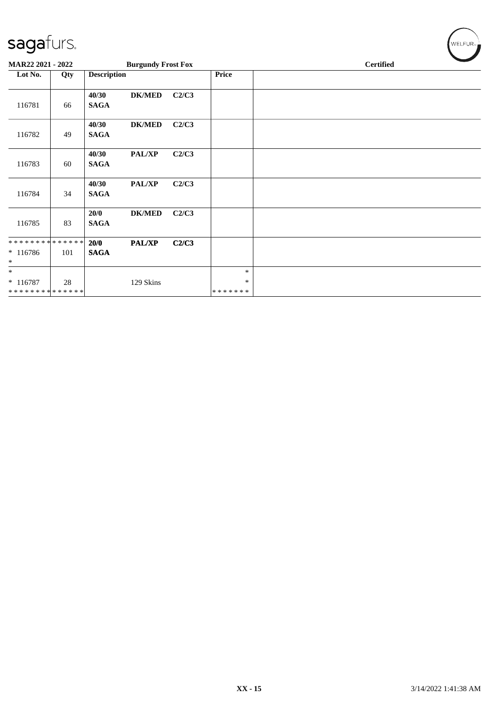| sagafurs.                                           |     |                      |                           |       |                        | WELFUR <sub>™</sub> |
|-----------------------------------------------------|-----|----------------------|---------------------------|-------|------------------------|---------------------|
| MAR22 2021 - 2022                                   |     |                      | <b>Burgundy Frost Fox</b> |       |                        | <b>Certified</b>    |
| Lot No.                                             | Qty | <b>Description</b>   |                           |       | Price                  |                     |
| 116781                                              | 66  | 40/30<br><b>SAGA</b> | <b>DK/MED</b>             | C2/C3 |                        |                     |
| 116782                                              | 49  | 40/30<br><b>SAGA</b> | <b>DK/MED</b>             | C2/C3 |                        |                     |
| 116783                                              | 60  | 40/30<br><b>SAGA</b> | PAL/XP                    | C2/C3 |                        |                     |
| 116784                                              | 34  | 40/30<br><b>SAGA</b> | PAL/XP                    | C2/C3 |                        |                     |
| 116785                                              | 83  | 20/0<br><b>SAGA</b>  | <b>DK/MED</b>             | C2/C3 |                        |                     |
| * * * * * * * * * * * * * *<br>* 116786<br>$\ast$   | 101 | 20/0<br><b>SAGA</b>  | PAL/XP                    | C2/C3 |                        |                     |
| $\ast$<br>$* 116787$<br>* * * * * * * * * * * * * * | 28  |                      | 129 Skins                 |       | $\ast$<br>∗<br>******* |                     |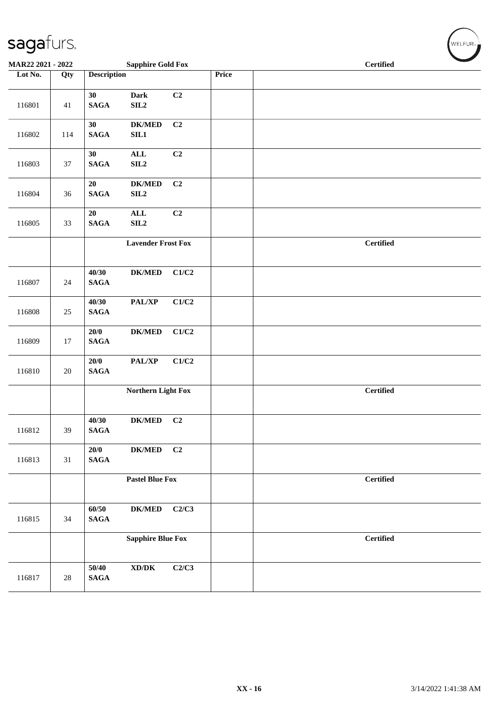| MAR22 2021 - 2022 |        | <b>Sapphire Gold Fox</b>                                          |       | <b>Certified</b> |
|-------------------|--------|-------------------------------------------------------------------|-------|------------------|
| Lot No.           | Qty    | <b>Description</b>                                                | Price |                  |
| 116801            | 41     | C2<br>30<br>Dark<br>$\mathbf{SAGA}$<br>SL2                        |       |                  |
| 116802            | 114    | 30<br><b>DK/MED</b><br>C <sub>2</sub><br>$\mathbf{SAGA}$<br>SL1   |       |                  |
| 116803            | 37     | $\mathbf{ALL}$<br>C2<br>30<br>$\mathbf{SAGA}$<br>SLL2             |       |                  |
| 116804            | 36     | C2<br>20<br><b>DK/MED</b><br>$\mathbf{SAGA}$<br>SLL2              |       |                  |
| 116805            | 33     | C <sub>2</sub><br>$\mathbf{ALL}$<br>20<br>$\mathbf{SAGA}$<br>SLL2 |       |                  |
|                   |        | <b>Lavender Frost Fox</b>                                         |       | <b>Certified</b> |
| 116807            | 24     | C1/C2<br>40/30<br><b>DK/MED</b><br><b>SAGA</b>                    |       |                  |
| 116808            | 25     | 40/30<br>PAL/XP<br>C1/C2<br><b>SAGA</b>                           |       |                  |
| 116809            | 17     | 20/0<br>$DK/MED$<br>C1/C2<br><b>SAGA</b>                          |       |                  |
| 116810            | $20\,$ | 20/0<br>PAL/XP<br>C1/C2<br>$\mathbf{SAGA}$                        |       |                  |
|                   |        | Northern Light Fox                                                |       | <b>Certified</b> |
| 116812            | 39     | $DK/MED$<br>40/30<br>C <sub>2</sub><br><b>SAGA</b>                |       |                  |
| 116813            | 31     | 20/0<br>C2<br><b>DK/MED</b><br><b>SAGA</b>                        |       |                  |
|                   |        | <b>Pastel Blue Fox</b>                                            |       | <b>Certified</b> |
| 116815            | 34     | 60/50<br>C2/C3<br><b>DK/MED</b><br>$\mathbf{SAGA}$                |       |                  |
|                   |        | <b>Sapphire Blue Fox</b>                                          |       | <b>Certified</b> |
| 116817            | $28\,$ | $\boldsymbol{\text{XD} / \text{DK}}$<br>50/40<br><b>SAGA</b>      | C2/C3 |                  |

 $(\sqrt{\text{WELFUR}_{n}})$